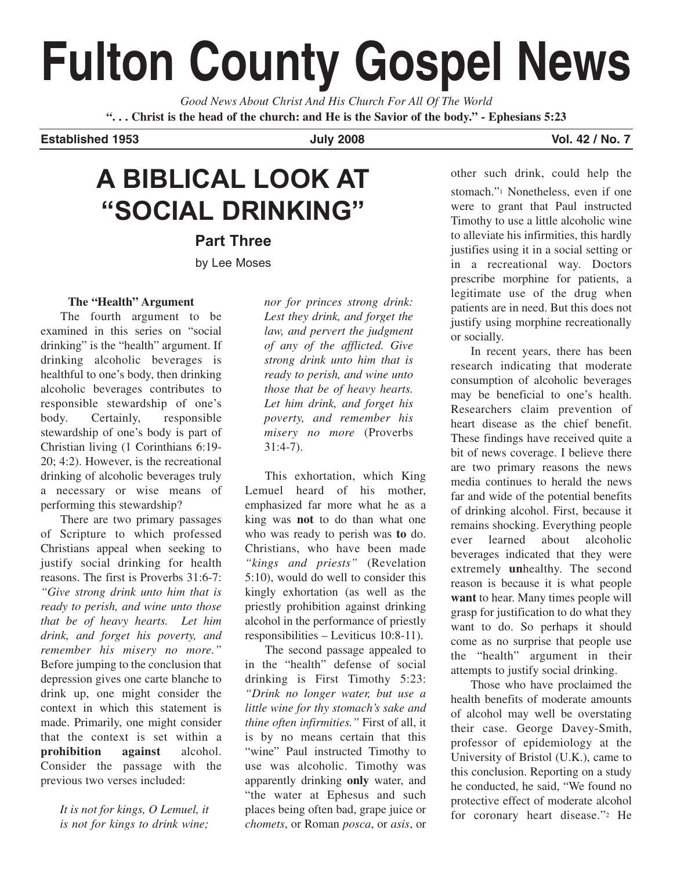# **Fulton County Gospel News**

*Good News About Christ And His Church For All Of The World* **". . . Christ is the head of the church: and He is the Savior of the body." - Ephesians 5:23**

**Established 1953 July 2008 Vol. 42 / No. 7**

# **A BIBLICAL LOOK AT "SOCIAL DRINKING"**

**Part Three** by Lee Moses

### **The "Health" Argument**

The fourth argument to be examined in this series on "social drinking" is the "health" argument. If drinking alcoholic beverages is healthful to one's body, then drinking alcoholic beverages contributes to responsible stewardship of one's body. Certainly, responsible stewardship of one's body is part of Christian living (1 Corinthians 6:19- 20; 4:2). However, is the recreational drinking of alcoholic beverages truly a necessary or wise means of performing this stewardship?

There are two primary passages of Scripture to which professed Christians appeal when seeking to justify social drinking for health reasons. The first is Proverbs 31:6-7: *"Give strong drink unto him that is ready to perish, and wine unto those that be of heavy hearts. Let him drink, and forget his poverty, and remember his misery no more."* Before jumping to the conclusion that depression gives one carte blanche to drink up, one might consider the context in which this statement is made. Primarily, one might consider that the context is set within a **prohibition against** alcohol. Consider the passage with the previous two verses included:

> *It is not for kings, O Lemuel, it is not for kings to drink wine;*

*nor for princes strong drink: Lest they drink, and forget the law, and pervert the judgment of any of the afflicted. Give strong drink unto him that is ready to perish, and wine unto those that be of heavy hearts. Let him drink, and forget his poverty, and remember his misery no more* (Proverbs  $31:4-7$ ).

This exhortation, which King Lemuel heard of his mother, emphasized far more what he as a king was **not** to do than what one who was ready to perish was **to** do. Christians, who have been made *"kings and priests"* (Revelation 5:10), would do well to consider this kingly exhortation (as well as the priestly prohibition against drinking alcohol in the performance of priestly responsibilities – Leviticus 10:8-11).

The second passage appealed to in the "health" defense of social drinking is First Timothy 5:23: *"Drink no longer water, but use a little wine for thy stomach's sake and thine often infirmities."* First of all, it is by no means certain that this "wine" Paul instructed Timothy to use was alcoholic. Timothy was apparently drinking **only** water, and "the water at Ephesus and such places being often bad, grape juice or *chomets*, or Roman *posca*, or *asis*, or

other such drink, could help the stomach."1 Nonetheless, even if one were to grant that Paul instructed Timothy to use a little alcoholic wine to alleviate his infirmities, this hardly justifies using it in a social setting or in a recreational way. Doctors prescribe morphine for patients, a legitimate use of the drug when patients are in need. But this does not justify using morphine recreationally or socially.

In recent years, there has been research indicating that moderate consumption of alcoholic beverages may be beneficial to one's health. Researchers claim prevention of heart disease as the chief benefit. These findings have received quite a bit of news coverage. I believe there are two primary reasons the news media continues to herald the news far and wide of the potential benefits of drinking alcohol. First, because it remains shocking. Everything people ever learned about alcoholic beverages indicated that they were extremely **un**healthy. The second reason is because it is what people **want** to hear. Many times people will grasp for justification to do what they want to do. So perhaps it should come as no surprise that people use the "health" argument in their attempts to justify social drinking.

Those who have proclaimed the health benefits of moderate amounts of alcohol may well be overstating their case. George Davey-Smith, professor of epidemiology at the University of Bristol (U.K.), came to this conclusion. Reporting on a study he conducted, he said, "We found no protective effect of moderate alcohol for coronary heart disease."2 He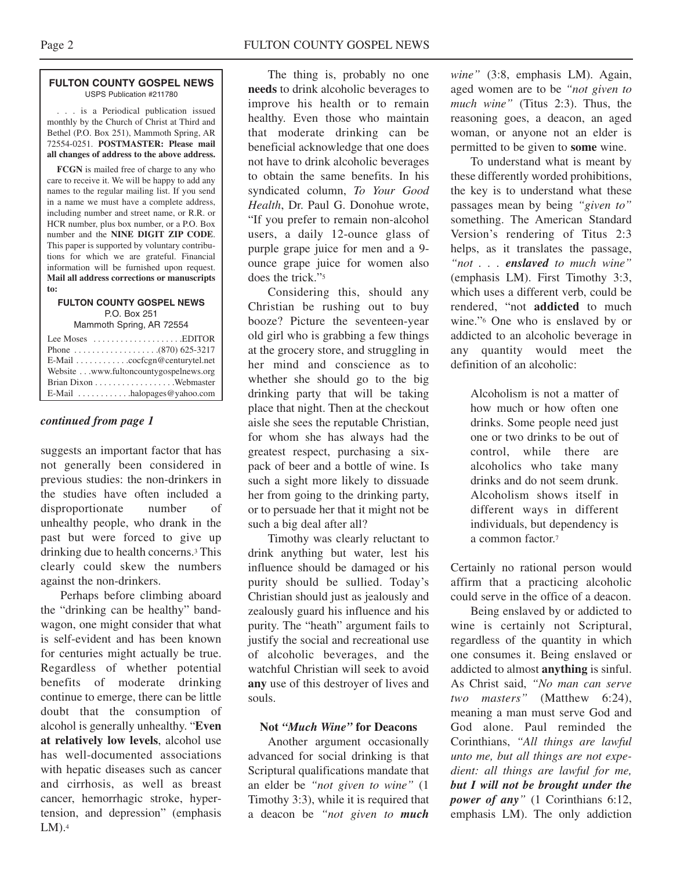#### **FULTON COUNTY GOSPEL NEWS** USPS Publication #211780

. . . is a Periodical publication issued monthly by the Church of Christ at Third and Bethel (P.O. Box 251), Mammoth Spring, AR 72554-0251. **POSTMASTER: Please mail all changes of address to the above address.**

**FCGN** is mailed free of charge to any who care to receive it. We will be happy to add any names to the regular mailing list. If you send in a name we must have a complete address, including number and street name, or R.R. or HCR number, plus box number, or a P.O. Box number and the **NINE DIGIT ZIP CODE**. This paper is supported by voluntary contributions for which we are grateful. Financial information will be furnished upon request. **Mail all address corrections or manuscripts to:**

### **FULTON COUNTY GOSPEL NEWS** P.O. Box 251

Mammoth Spring, AR 72554

| Lee Moses $\dots\dots\dots\dots\dots\dots$ . EDITOR    |  |
|--------------------------------------------------------|--|
|                                                        |  |
| E-Mail cocfcgn@centurytel.net                          |  |
| Website www.fultoncountygospelnews.org                 |  |
|                                                        |  |
| $E$ -Mail $\ldots \ldots \ldots$ halopages @ yahoo.com |  |

### *continued from page 1*

suggests an important factor that has not generally been considered in previous studies: the non-drinkers in the studies have often included a disproportionate number of unhealthy people, who drank in the past but were forced to give up drinking due to health concerns.3 This clearly could skew the numbers against the non-drinkers.

Perhaps before climbing aboard the "drinking can be healthy" bandwagon, one might consider that what is self-evident and has been known for centuries might actually be true. Regardless of whether potential benefits of moderate drinking continue to emerge, there can be little doubt that the consumption of alcohol is generally unhealthy. "**Even at relatively low levels**, alcohol use has well-documented associations with hepatic diseases such as cancer and cirrhosis, as well as breast cancer, hemorrhagic stroke, hypertension, and depression" (emphasis  $LM$ ).<sup>4</sup>

The thing is, probably no one **needs** to drink alcoholic beverages to improve his health or to remain healthy. Even those who maintain that moderate drinking can be beneficial acknowledge that one does not have to drink alcoholic beverages to obtain the same benefits. In his syndicated column, *To Your Good Health*, Dr. Paul G. Donohue wrote, "If you prefer to remain non-alcohol users, a daily 12-ounce glass of purple grape juice for men and a 9 ounce grape juice for women also does the trick."5

Considering this, should any Christian be rushing out to buy booze? Picture the seventeen-year old girl who is grabbing a few things at the grocery store, and struggling in her mind and conscience as to whether she should go to the big drinking party that will be taking place that night. Then at the checkout aisle she sees the reputable Christian, for whom she has always had the greatest respect, purchasing a sixpack of beer and a bottle of wine. Is such a sight more likely to dissuade her from going to the drinking party, or to persuade her that it might not be such a big deal after all?

Timothy was clearly reluctant to drink anything but water, lest his influence should be damaged or his purity should be sullied. Today's Christian should just as jealously and zealously guard his influence and his purity. The "heath" argument fails to justify the social and recreational use of alcoholic beverages, and the watchful Christian will seek to avoid **any** use of this destroyer of lives and souls.

### **Not** *"Much Wine"* **for Deacons**

Another argument occasionally advanced for social drinking is that Scriptural qualifications mandate that an elder be *"not given to wine"* (1 Timothy 3:3), while it is required that a deacon be *"not given to much*

*wine"* (3:8, emphasis LM). Again, aged women are to be *"not given to much wine"* (Titus 2:3). Thus, the reasoning goes, a deacon, an aged woman, or anyone not an elder is permitted to be given to **some** wine.

To understand what is meant by these differently worded prohibitions, the key is to understand what these passages mean by being *"given to"* something. The American Standard Version's rendering of Titus 2:3 helps, as it translates the passage, *"not . . . enslaved to much wine"* (emphasis LM). First Timothy 3:3, which uses a different verb, could be rendered, "not **addicted** to much wine."6 One who is enslaved by or addicted to an alcoholic beverage in any quantity would meet the definition of an alcoholic:

> Alcoholism is not a matter of how much or how often one drinks. Some people need just one or two drinks to be out of control, while there are alcoholics who take many drinks and do not seem drunk. Alcoholism shows itself in different ways in different individuals, but dependency is a common factor.7

Certainly no rational person would affirm that a practicing alcoholic could serve in the office of a deacon.

Being enslaved by or addicted to wine is certainly not Scriptural, regardless of the quantity in which one consumes it. Being enslaved or addicted to almost **anything** is sinful. As Christ said, *"No man can serve two masters"* (Matthew 6:24), meaning a man must serve God and God alone. Paul reminded the Corinthians, *"All things are lawful unto me, but all things are not expedient: all things are lawful for me, but I will not be brought under the power of any"* (1 Corinthians 6:12, emphasis LM). The only addiction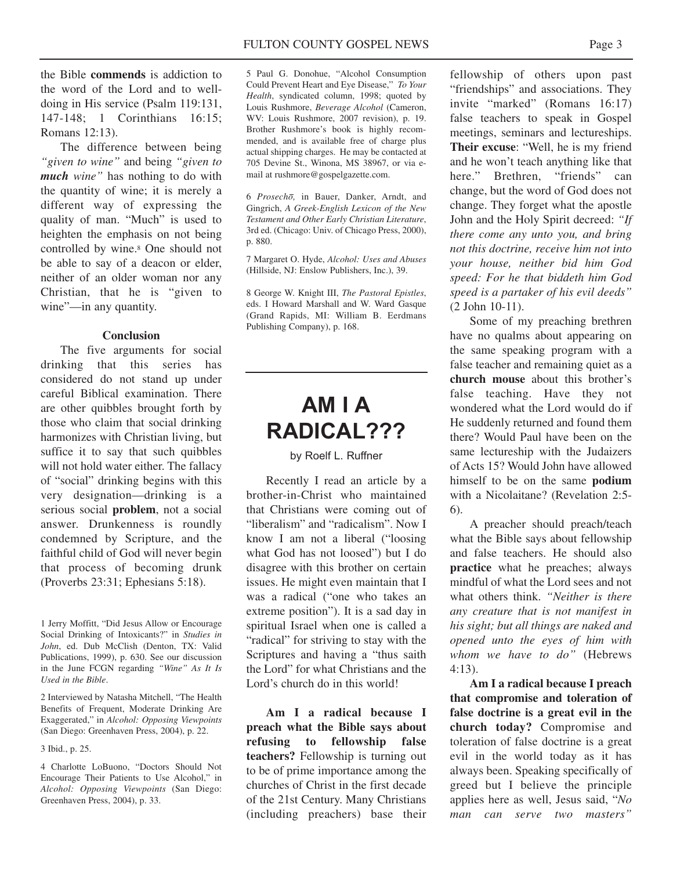the Bible **commends** is addiction to the word of the Lord and to welldoing in His service (Psalm 119:131, 147-148; 1 Corinthians 16:15; Romans 12:13).

The difference between being *"given to wine"* and being *"given to much wine"* has nothing to do with the quantity of wine; it is merely a different way of expressing the quality of man. "Much" is used to heighten the emphasis on not being controlled by wine.8 One should not be able to say of a deacon or elder, neither of an older woman nor any Christian, that he is "given to wine"—in any quantity.

### **Conclusion**

The five arguments for social drinking that this series has considered do not stand up under careful Biblical examination. There are other quibbles brought forth by those who claim that social drinking harmonizes with Christian living, but suffice it to say that such quibbles will not hold water either. The fallacy of "social" drinking begins with this very designation—drinking is a serious social **problem**, not a social answer. Drunkenness is roundly condemned by Scripture, and the faithful child of God will never begin that process of becoming drunk (Proverbs 23:31; Ephesians 5:18).

1 Jerry Moffitt, "Did Jesus Allow or Encourage Social Drinking of Intoxicants?" in *Studies in John*, ed. Dub McClish (Denton, TX: Valid Publications, 1999), p. 630. See our discussion in the June FCGN regarding *"Wine" As It Is Used in the Bible*.

2 Interviewed by Natasha Mitchell, "The Health Benefits of Frequent, Moderate Drinking Are Exaggerated," in *Alcohol: Opposing Viewpoints* (San Diego: Greenhaven Press, 2004), p. 22.

3 Ibid., p. 25.

4 Charlotte LoBuono, "Doctors Should Not Encourage Their Patients to Use Alcohol," in *Alcohol: Opposing Viewpoints* (San Diego: Greenhaven Press, 2004), p. 33.

5 Paul G. Donohue, "Alcohol Consumption Could Prevent Heart and Eye Disease," *To Your Health*, syndicated column, 1998; quoted by Louis Rushmore, *Beverage Alcohol* (Cameron, WV: Louis Rushmore, 2007 revision), p. 19. Brother Rushmore's book is highly recommended, and is available free of charge plus actual shipping charges. He may be contacted at 705 Devine St., Winona, MS 38967, or via email at rushmore@gospelgazette.com.

6 *Prosecho,* in Bauer, Danker, Arndt, and Gingrich, *A Greek-English Lexicon of the New Testament and Other Early Christian Literature*, 3rd ed. (Chicago: Univ. of Chicago Press, 2000), p. 880.

7 Margaret O. Hyde, *Alcohol: Uses and Abuses* (Hillside, NJ: Enslow Publishers, Inc.), 39.

8 George W. Knight III, *The Pastoral Epistles*, eds. I Howard Marshall and W. Ward Gasque (Grand Rapids, MI: William B. Eerdmans Publishing Company), p. 168.

## **AM I A RADICAL???**

### by Roelf L. Ruffner

Recently I read an article by a brother-in-Christ who maintained that Christians were coming out of "liberalism" and "radicalism". Now I know I am not a liberal ("loosing what God has not loosed") but I do disagree with this brother on certain issues. He might even maintain that I was a radical ("one who takes an extreme position"). It is a sad day in spiritual Israel when one is called a "radical" for striving to stay with the Scriptures and having a "thus saith the Lord" for what Christians and the Lord's church do in this world!

**Am I a radical because I preach what the Bible says about refusing to fellowship false teachers?** Fellowship is turning out to be of prime importance among the churches of Christ in the first decade of the 21st Century. Many Christians (including preachers) base their

fellowship of others upon past "friendships" and associations. They invite "marked" (Romans 16:17) false teachers to speak in Gospel meetings, seminars and lectureships. **Their excuse**: "Well, he is my friend and he won't teach anything like that here." Brethren, "friends" can change, but the word of God does not change. They forget what the apostle John and the Holy Spirit decreed: *"If there come any unto you, and bring not this doctrine, receive him not into your house, neither bid him God speed: For he that biddeth him God speed is a partaker of his evil deeds"* (2 John 10-11).

Some of my preaching brethren have no qualms about appearing on the same speaking program with a false teacher and remaining quiet as a **church mouse** about this brother's false teaching. Have they not wondered what the Lord would do if He suddenly returned and found them there? Would Paul have been on the same lectureship with the Judaizers of Acts 15? Would John have allowed himself to be on the same **podium** with a Nicolaitane? (Revelation 2:5- 6).

A preacher should preach/teach what the Bible says about fellowship and false teachers. He should also **practice** what he preaches; always mindful of what the Lord sees and not what others think. *"Neither is there any creature that is not manifest in his sight; but all things are naked and opened unto the eyes of him with whom we have to do"* (Hebrews 4:13).

**Am I a radical because I preach that compromise and toleration of false doctrine is a great evil in the church today?** Compromise and toleration of false doctrine is a great evil in the world today as it has always been. Speaking specifically of greed but I believe the principle applies here as well, Jesus said, "*No man can serve two masters"*